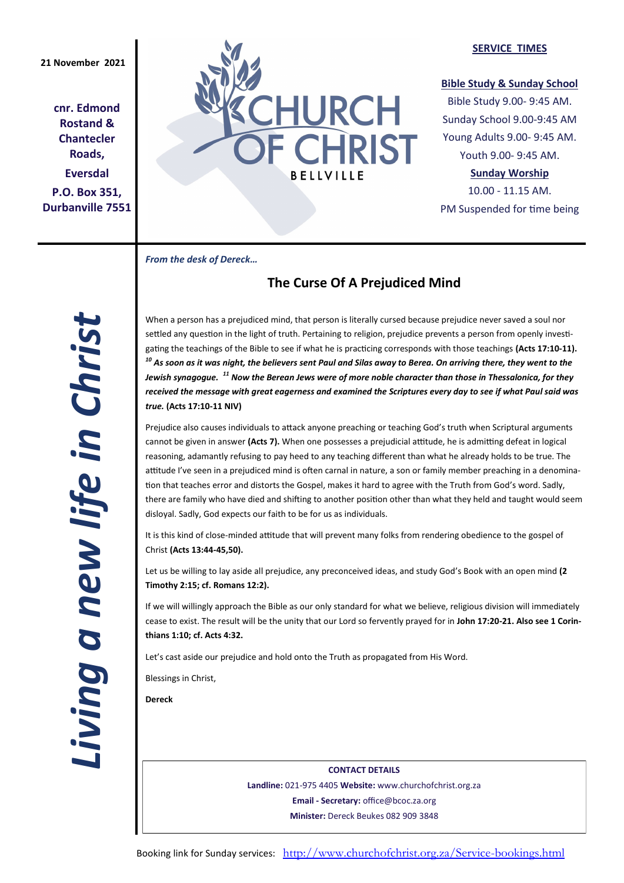**cnr. Edmond Rostand & Chantecler Roads, Eversdal P.O. Box 351, Durbanville 7551**



#### **SERVICE TIMES**

### **Bible Study & Sunday School**

Bible Study 9.00- 9:45 AM. Sunday School 9.00-9:45 AM Young Adults 9.00- 9:45 AM. Youth 9.00- 9:45 AM.

### **Sunday Worship**

10.00 - 11.15 AM. PM Suspended for time being

*From the desk of Dereck…* 

# **The Curse Of A Prejudiced Mind**

When a person has a prejudiced mind, that person is literally cursed because prejudice never saved a soul nor settled any question in the light of truth. Pertaining to religion, prejudice prevents a person from openly investigating the teachings of the Bible to see if what he is practicing corresponds with those teachings **(Acts 17:10-11).**  *<sup>10</sup> As soon as it was night, the believers sent Paul and Silas away to Berea. On arriving there, they went to the Jewish synagogue. <sup>11</sup> Now the Berean Jews were of more noble character than those in Thessalonica, for they received the message with great eagerness and examined the Scriptures every day to see if what Paul said was true.* **(Acts 17:10-11 NIV)**

Prejudice also causes individuals to attack anyone preaching or teaching God's truth when Scriptural arguments cannot be given in answer **(Acts 7).** When one possesses a prejudicial attitude, he is admitting defeat in logical reasoning, adamantly refusing to pay heed to any teaching different than what he already holds to be true. The attitude I've seen in a prejudiced mind is often carnal in nature, a son or family member preaching in a denomination that teaches error and distorts the Gospel, makes it hard to agree with the Truth from God's word. Sadly, there are family who have died and shifting to another position other than what they held and taught would seem disloyal. Sadly, God expects our faith to be for us as individuals.

It is this kind of close-minded attitude that will prevent many folks from rendering obedience to the gospel of Christ **(Acts 13:44-45,50).** 

Let us be willing to lay aside all prejudice, any preconceived ideas, and study God's Book with an open mind **(2 Timothy 2:15; cf. Romans 12:2).**

If we will willingly approach the Bible as our only standard for what we believe, religious division will immediately cease to exist. The result will be the unity that our Lord so fervently prayed for in **John 17:20-21. Also see 1 Corinthians 1:10; cf. Acts 4:32.**

Let's cast aside our prejudice and hold onto the Truth as propagated from His Word.

Blessings in Christ,

**Dereck** 

**CONTACT DETAILS Landline:** 021-975 4405 **Website:** www.churchofchrist.org.za **Email - Secretary:** office@bcoc.za.org **Minister:** Dereck Beukes 082 909 3848